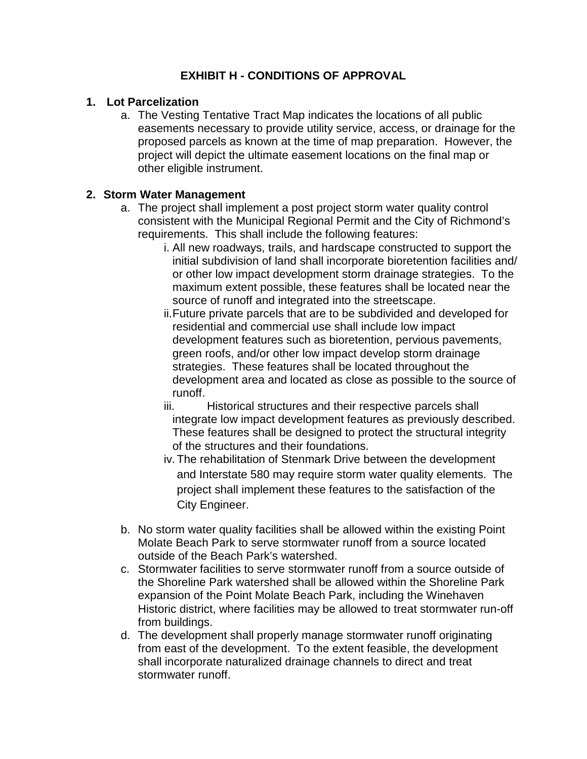## **EXHIBIT H - CONDITIONS OF APPROVAL**

#### **1. Lot Parcelization**

a. The Vesting Tentative Tract Map indicates the locations of all public easements necessary to provide utility service, access, or drainage for the proposed parcels as known at the time of map preparation. However, the project will depict the ultimate easement locations on the final map or other eligible instrument.

#### **2. Storm Water Management**

- a. The project shall implement a post project storm water quality control consistent with the Municipal Regional Permit and the City of Richmond's requirements. This shall include the following features:
	- i. All new roadways, trails, and hardscape constructed to support the initial subdivision of land shall incorporate bioretention facilities and/ or other low impact development storm drainage strategies. To the maximum extent possible, these features shall be located near the source of runoff and integrated into the streetscape.
	- ii.Future private parcels that are to be subdivided and developed for residential and commercial use shall include low impact development features such as bioretention, pervious pavements, green roofs, and/or other low impact develop storm drainage strategies. These features shall be located throughout the development area and located as close as possible to the source of runoff.
	- iii. Historical structures and their respective parcels shall integrate low impact development features as previously described. These features shall be designed to protect the structural integrity of the structures and their foundations.
	- iv.The rehabilitation of Stenmark Drive between the development and Interstate 580 may require storm water quality elements. The project shall implement these features to the satisfaction of the City Engineer.
- b. No storm water quality facilities shall be allowed within the existing Point Molate Beach Park to serve stormwater runoff from a source located outside of the Beach Park's watershed.
- c. Stormwater facilities to serve stormwater runoff from a source outside of the Shoreline Park watershed shall be allowed within the Shoreline Park expansion of the Point Molate Beach Park, including the Winehaven Historic district, where facilities may be allowed to treat stormwater run-off from buildings.
- d. The development shall properly manage stormwater runoff originating from east of the development. To the extent feasible, the development shall incorporate naturalized drainage channels to direct and treat stormwater runoff.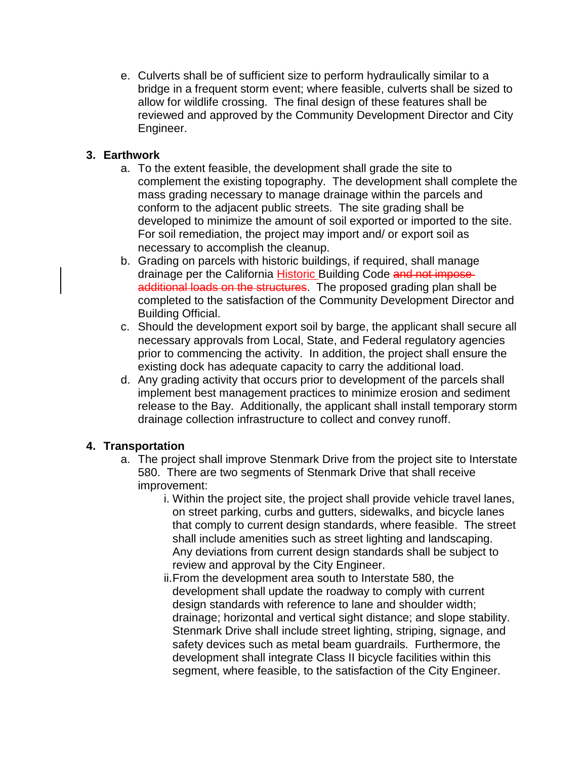e. Culverts shall be of sufficient size to perform hydraulically similar to a bridge in a frequent storm event; where feasible, culverts shall be sized to allow for wildlife crossing. The final design of these features shall be reviewed and approved by the Community Development Director and City Engineer.

### **3. Earthwork**

- a. To the extent feasible, the development shall grade the site to complement the existing topography. The development shall complete the mass grading necessary to manage drainage within the parcels and conform to the adjacent public streets. The site grading shall be developed to minimize the amount of soil exported or imported to the site. For soil remediation, the project may import and/ or export soil as necessary to accomplish the cleanup.
- b. Grading on parcels with historic buildings, if required, shall manage drainage per the California Historic Building Code and not imposeadditional loads on the structures. The proposed grading plan shall be completed to the satisfaction of the Community Development Director and Building Official.
- c. Should the development export soil by barge, the applicant shall secure all necessary approvals from Local, State, and Federal regulatory agencies prior to commencing the activity. In addition, the project shall ensure the existing dock has adequate capacity to carry the additional load.
- d. Any grading activity that occurs prior to development of the parcels shall implement best management practices to minimize erosion and sediment release to the Bay. Additionally, the applicant shall install temporary storm drainage collection infrastructure to collect and convey runoff.

### **4. Transportation**

- a. The project shall improve Stenmark Drive from the project site to Interstate 580. There are two segments of Stenmark Drive that shall receive improvement:
	- i. Within the project site, the project shall provide vehicle travel lanes, on street parking, curbs and gutters, sidewalks, and bicycle lanes that comply to current design standards, where feasible. The street shall include amenities such as street lighting and landscaping. Any deviations from current design standards shall be subject to review and approval by the City Engineer.
	- ii.From the development area south to Interstate 580, the development shall update the roadway to comply with current design standards with reference to lane and shoulder width; drainage; horizontal and vertical sight distance; and slope stability. Stenmark Drive shall include street lighting, striping, signage, and safety devices such as metal beam guardrails. Furthermore, the development shall integrate Class II bicycle facilities within this segment, where feasible, to the satisfaction of the City Engineer.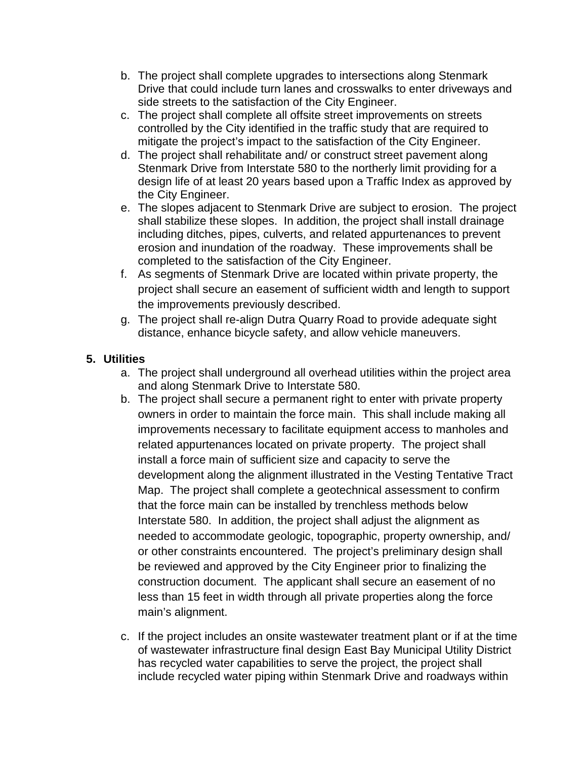- b. The project shall complete upgrades to intersections along Stenmark Drive that could include turn lanes and crosswalks to enter driveways and side streets to the satisfaction of the City Engineer.
- c. The project shall complete all offsite street improvements on streets controlled by the City identified in the traffic study that are required to mitigate the project's impact to the satisfaction of the City Engineer.
- d. The project shall rehabilitate and/ or construct street pavement along Stenmark Drive from Interstate 580 to the northerly limit providing for a design life of at least 20 years based upon a Traffic Index as approved by the City Engineer.
- e. The slopes adjacent to Stenmark Drive are subject to erosion. The project shall stabilize these slopes. In addition, the project shall install drainage including ditches, pipes, culverts, and related appurtenances to prevent erosion and inundation of the roadway. These improvements shall be completed to the satisfaction of the City Engineer.
- f. As segments of Stenmark Drive are located within private property, the project shall secure an easement of sufficient width and length to support the improvements previously described.
- g. The project shall re-align Dutra Quarry Road to provide adequate sight distance, enhance bicycle safety, and allow vehicle maneuvers.

# **5. Utilities**

- a. The project shall underground all overhead utilities within the project area and along Stenmark Drive to Interstate 580.
- b. The project shall secure a permanent right to enter with private property owners in order to maintain the force main. This shall include making all improvements necessary to facilitate equipment access to manholes and related appurtenances located on private property. The project shall install a force main of sufficient size and capacity to serve the development along the alignment illustrated in the Vesting Tentative Tract Map. The project shall complete a geotechnical assessment to confirm that the force main can be installed by trenchless methods below Interstate 580. In addition, the project shall adjust the alignment as needed to accommodate geologic, topographic, property ownership, and/ or other constraints encountered. The project's preliminary design shall be reviewed and approved by the City Engineer prior to finalizing the construction document. The applicant shall secure an easement of no less than 15 feet in width through all private properties along the force main's alignment.
- c. If the project includes an onsite wastewater treatment plant or if at the time of wastewater infrastructure final design East Bay Municipal Utility District has recycled water capabilities to serve the project, the project shall include recycled water piping within Stenmark Drive and roadways within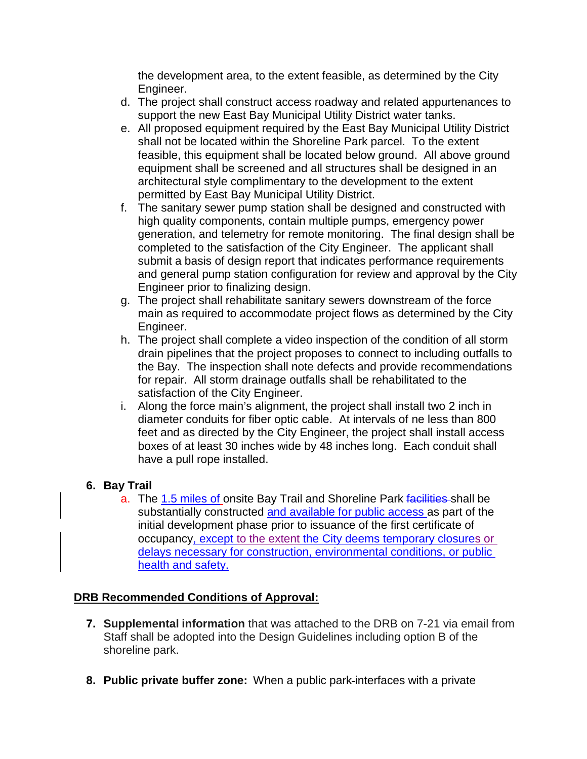the development area, to the extent feasible, as determined by the City Engineer.

- d. The project shall construct access roadway and related appurtenances to support the new East Bay Municipal Utility District water tanks.
- e. All proposed equipment required by the East Bay Municipal Utility District shall not be located within the Shoreline Park parcel. To the extent feasible, this equipment shall be located below ground. All above ground equipment shall be screened and all structures shall be designed in an architectural style complimentary to the development to the extent permitted by East Bay Municipal Utility District.
- f. The sanitary sewer pump station shall be designed and constructed with high quality components, contain multiple pumps, emergency power generation, and telemetry for remote monitoring. The final design shall be completed to the satisfaction of the City Engineer. The applicant shall submit a basis of design report that indicates performance requirements and general pump station configuration for review and approval by the City Engineer prior to finalizing design.
- g. The project shall rehabilitate sanitary sewers downstream of the force main as required to accommodate project flows as determined by the City Engineer.
- h. The project shall complete a video inspection of the condition of all storm drain pipelines that the project proposes to connect to including outfalls to the Bay. The inspection shall note defects and provide recommendations for repair. All storm drainage outfalls shall be rehabilitated to the satisfaction of the City Engineer.
- i. Along the force main's alignment, the project shall install two 2 inch in diameter conduits for fiber optic cable. At intervals of ne less than 800 feet and as directed by the City Engineer, the project shall install access boxes of at least 30 inches wide by 48 inches long. Each conduit shall have a pull rope installed.

# **6. Bay Trail**

a. The 1.5 miles of onsite Bay Trail and Shoreline Park facilities shall be substantially constructed and available for public access as part of the initial development phase prior to issuance of the first certificate of occupancy, except to the extent the City deems temporary closures or delays necessary for construction, environmental conditions, or public health and safety.

# **DRB Recommended Conditions of Approval:**

- **7. Supplemental information** that was attached to the DRB on 7-21 via email from Staff shall be adopted into the Design Guidelines including option B of the shoreline park.
- **8. Public private buffer zone:** When a public park interfaces with a private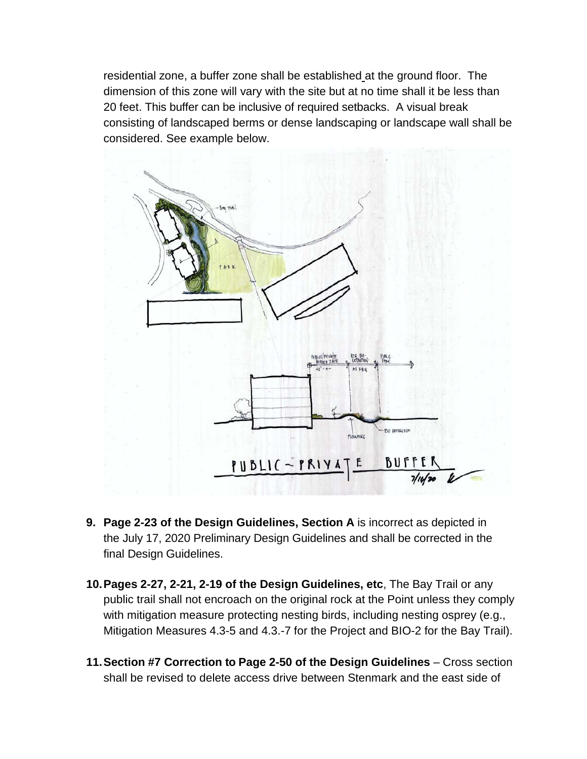residential zone, a buffer zone shall be established at the ground floor. The dimension of this zone will vary with the site but at no time shall it be less than 20 feet. This buffer can be inclusive of required setbacks. A visual break consisting of landscaped berms or dense landscaping or landscape wall shall be considered. See example below.



- **9. Page 2-23 of the Design Guidelines, Section A** is incorrect as depicted in the July 17, 2020 Preliminary Design Guidelines and shall be corrected in the final Design Guidelines.
- **10.Pages 2-27, 2-21, 2-19 of the Design Guidelines, etc**, The Bay Trail or any public trail shall not encroach on the original rock at the Point unless they comply with mitigation measure protecting nesting birds, including nesting osprey (e.g., Mitigation Measures 4.3-5 and 4.3.-7 for the Project and BIO-2 for the Bay Trail).
- **11.Section #7 Correction to Page 2-50 of the Design Guidelines** Cross section shall be revised to delete access drive between Stenmark and the east side of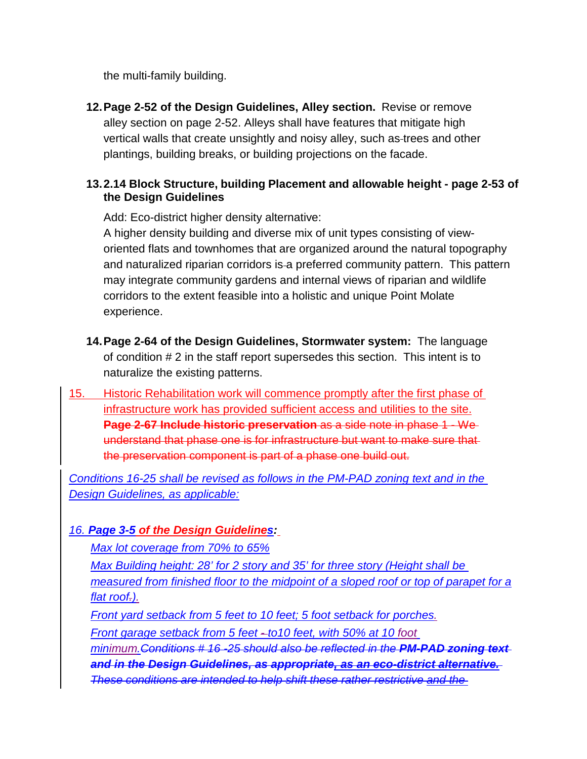the multi-family building.

**12.Page 2-52 of the Design Guidelines, Alley section.** Revise or remove alley section on page 2-52. Alleys shall have features that mitigate high vertical walls that create unsightly and noisy alley, such as trees and other plantings, building breaks, or building projections on the facade.

## **13.2.14 Block Structure, building Placement and allowable height - page 2-53 of the Design Guidelines**

Add: Eco-district higher density alternative:

A higher density building and diverse mix of unit types consisting of vieworiented flats and townhomes that are organized around the natural topography and naturalized riparian corridors is a preferred community pattern. This pattern may integrate community gardens and internal views of riparian and wildlife corridors to the extent feasible into a holistic and unique Point Molate experience.

- **14.Page 2-64 of the Design Guidelines, Stormwater system:** The language of condition # 2 in the staff report supersedes this section. This intent is to naturalize the existing patterns.
- 15. Historic Rehabilitation work will commence promptly after the first phase of infrastructure work has provided sufficient access and utilities to the site. **Page 2-67 Include historic preservation** as a side note in phase 1 - We understand that phase one is for infrastructure but want to make sure that the preservation component is part of a phase one build out.

*Conditions 16-25 shall be revised as follows in the PM-PAD zoning text and in the Design Guidelines, as applicable:*

# *16. Page 3-5 of the Design Guidelines:*

*Max lot coverage from 70% to 65%*

*Max Building height: 28' for 2 story and 35' for three story (Height shall be measured from finished floor to the midpoint of a sloped roof or top of parapet for a flat roof.).*

*Front yard setback from 5 feet to 10 feet; 5 foot setback for porches.*

*Front garage setback from 5 feet - to10 feet, with 50% at 10 foot*

*minimum.Conditions # 16 -25 should also be reflected in the PM-PAD zoning text and in the Design Guidelines, as appropriate, as an eco-district alternative. These conditions are intended to help shift these rather restrictive and the*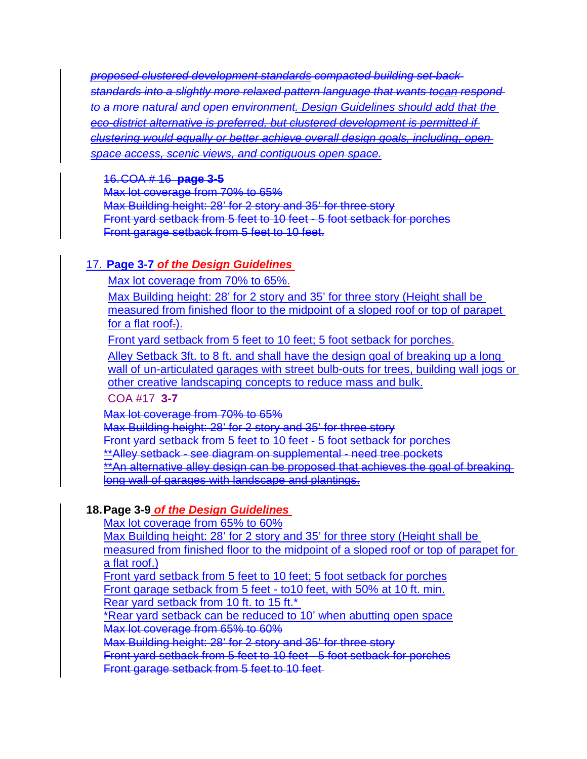*proposed clustered development standards compacted building set-back standards into a slightly more relaxed pattern language that wants tocan respond to a more natural and open environment. Design Guidelines should add that the eco-district alternative is preferred, but clustered development is permitted if clustering would equally or better achieve overall design goals, including, open space access, scenic views, and contiguous open space.*

#### 16.COA # 16 **page 3-5**

Max lot coverage from 70% to 65% Max Building height: 28' for 2 story and 35' for three story Front yard setback from 5 feet to 10 feet - 5 foot setback for porches Front garage setback from 5 feet to 10 feet.

## 17. **Page 3-7** *of the Design Guidelines*

Max lot coverage from 70% to 65%.

Max Building height: 28' for 2 story and 35' for three story (Height shall be measured from finished floor to the midpoint of a sloped roof or top of parapet for a flat roof.).

Front yard setback from 5 feet to 10 feet; 5 foot setback for porches.

Alley Setback 3ft. to 8 ft. and shall have the design goal of breaking up a long wall of un-articulated garages with street bulb-outs for trees, building wall jogs or other creative landscaping concepts to reduce mass and bulk.

COA #17 **3-7**

Max lot coverage from 70% to 65% Max Building height: 28' for 2 story and 35' for three story Front yard setback from 5 feet to 10 feet - 5 foot setback for porches \*\*Alley setback - see diagram on supplemental - need tree pockets \*\*An alternative alley design can be proposed that achieves the goal of breaking long wall of garages with landscape and plantings.

### **18.Page 3-9** *of the Design Guidelines*

Max lot coverage from 65% to 60%

Max Building height: 28' for 2 story and 35' for three story (Height shall be measured from finished floor to the midpoint of a sloped roof or top of parapet for a flat roof.)

Front yard setback from 5 feet to 10 feet; 5 foot setback for porches Front garage setback from 5 feet - to10 feet, with 50% at 10 ft. min.

Rear yard setback from 10 ft. to 15 ft.\*

\*Rear yard setback can be reduced to 10' when abutting open space Max lot coverage from 65% to 60%

Max Building height: 28' for 2 story and 35' for three story

Front yard setback from 5 feet to 10 feet - 5 foot setback for porches

Front garage setback from 5 feet to 10 feet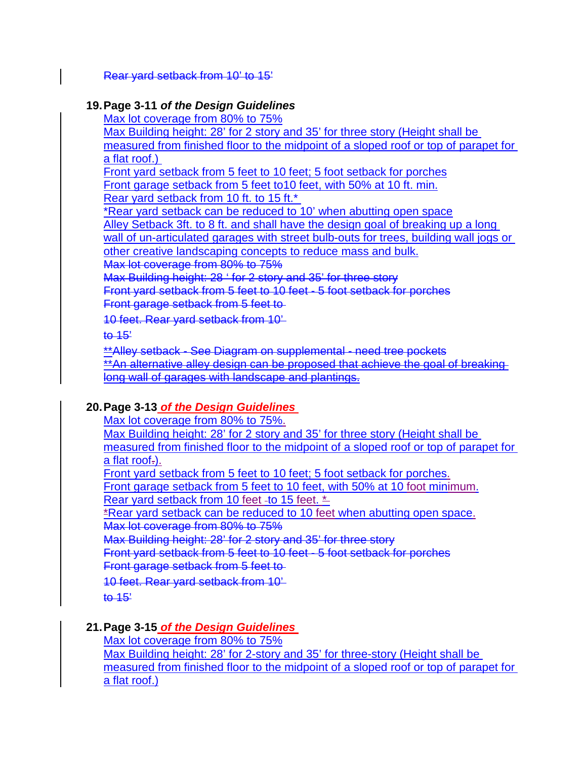Rear yard setback from 10' to 15'

#### **19.Page 3-11** *of the Design Guidelines*

Max lot coverage from 80% to 75%

Max Building height: 28' for 2 story and 35' for three story (Height shall be measured from finished floor to the midpoint of a sloped roof or top of parapet for a flat roof.)

Front yard setback from 5 feet to 10 feet; 5 foot setback for porches Front garage setback from 5 feet to10 feet, with 50% at 10 ft. min. Rear yard setback from 10 ft. to 15 ft.\*

\*Rear yard setback can be reduced to 10' when abutting open space

Alley Setback 3ft. to 8 ft. and shall have the design goal of breaking up a long

wall of un-articulated garages with street bulb-outs for trees, building wall jogs or

other creative landscaping concepts to reduce mass and bulk.

Max lot coverage from 80% to 75%

Max Building height: 28 ' for 2 story and 35' for three story

Front yard setback from 5 feet to 10 feet - 5 foot setback for porches

Front garage setback from 5 feet to

10 feet. Rear yard setback from 10'

 $10 - 15$ 

\*\*Alley setback - See Diagram on supplemental - need tree pockets \*\*An alternative alley design can be proposed that achieve the goal of breaking long wall of garages with landscape and plantings.

### **20.Page 3-13** *of the Design Guidelines*

Max lot coverage from 80% to 75%. Max Building height: 28' for 2 story and 35' for three story (Height shall be measured from finished floor to the midpoint of a sloped roof or top of parapet for  $a$  flat roof $\overline{a}$ . Front yard setback from 5 feet to 10 feet; 5 foot setback for porches. Front garage setback from 5 feet to 10 feet, with 50% at 10 foot minimum. Rear yard setback from 10 feet -to 15 feet.  $\stackrel{*}{\rightharpoonup}$ \*Rear yard setback can be reduced to 10 feet when abutting open space. Max lot coverage from 80% to 75% Max Building height: 28' for 2 story and 35' for three story Front yard setback from 5 feet to 10 feet - 5 foot setback for porches Front garage setback from 5 feet to 10 feet. Rear yard setback from 10'  $t<sub>0</sub>$  15'

# **21.Page 3-15** *of the Design Guidelines*

Max lot coverage from 80% to 75%

Max Building height: 28' for 2-story and 35' for three-story (Height shall be measured from finished floor to the midpoint of a sloped roof or top of parapet for a flat roof.)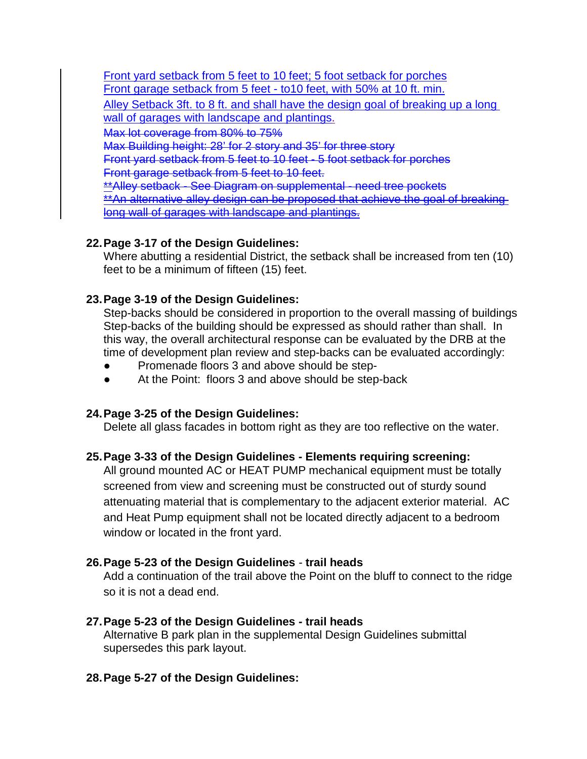Front yard setback from 5 feet to 10 feet; 5 foot setback for porches Front garage setback from 5 feet - to10 feet, with 50% at 10 ft. min. Alley Setback 3ft. to 8 ft. and shall have the design goal of breaking up a long wall of garages with landscape and plantings. Max lot coverage from 80% to 75% Max Building height: 28' for 2 story and 35' for three story Front yard setback from 5 feet to 10 feet - 5 foot setback for porches

Front garage setback from 5 feet to 10 feet.

\*\*Alley setback - See Diagram on supplemental - need tree pockets \*\*An alternative alley design can be proposed that achieve the goal of breaking long wall of garages with landscape and plantings.

### **22.Page 3-17 of the Design Guidelines:**

Where abutting a residential District, the setback shall be increased from ten (10) feet to be a minimum of fifteen (15) feet.

### **23.Page 3-19 of the Design Guidelines:**

Step-backs should be considered in proportion to the overall massing of buildings Step-backs of the building should be expressed as should rather than shall. In this way, the overall architectural response can be evaluated by the DRB at the time of development plan review and step-backs can be evaluated accordingly:

- Promenade floors 3 and above should be step-
- At the Point: floors 3 and above should be step-back

### **24.Page 3-25 of the Design Guidelines:**

Delete all glass facades in bottom right as they are too reflective on the water.

### **25.Page 3-33 of the Design Guidelines - Elements requiring screening:**

All ground mounted AC or HEAT PUMP mechanical equipment must be totally screened from view and screening must be constructed out of sturdy sound attenuating material that is complementary to the adjacent exterior material. AC and Heat Pump equipment shall not be located directly adjacent to a bedroom window or located in the front yard.

### **26.Page 5-23 of the Design Guidelines** *-* **trail heads**

Add a continuation of the trail above the Point on the bluff to connect to the ridge so it is not a dead end.

# **27.Page 5-23 of the Design Guidelines** *-* **trail heads**

Alternative B park plan in the supplemental Design Guidelines submittal supersedes this park layout.

# **28.Page 5-27 of the Design Guidelines:**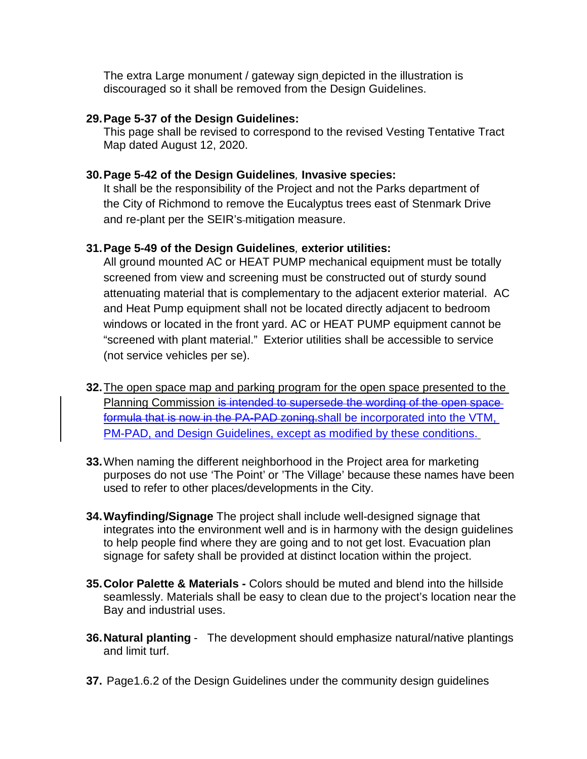The extra Large monument / gateway sign depicted in the illustration is discouraged so it shall be removed from the Design Guidelines.

#### **29.Page 5-37 of the Design Guidelines:**

This page shall be revised to correspond to the revised Vesting Tentative Tract Map dated August 12, 2020.

#### **30.Page 5-42 of the Design Guidelines***,* **Invasive species:**

It shall be the responsibility of the Project and not the Parks department of the City of Richmond to remove the Eucalyptus trees east of Stenmark Drive and re-plant per the SEIR's mitigation measure.

#### **31.Page 5-49 of the Design Guidelines***,* **exterior utilities:**

All ground mounted AC or HEAT PUMP mechanical equipment must be totally screened from view and screening must be constructed out of sturdy sound attenuating material that is complementary to the adjacent exterior material. AC and Heat Pump equipment shall not be located directly adjacent to bedroom windows or located in the front yard. AC or HEAT PUMP equipment cannot be "screened with plant material." Exterior utilities shall be accessible to service (not service vehicles per se).

- **32.**The open space map and parking program for the open space presented to the Planning Commission is intended to supersede the wording of the open space formula that is now in the PA-PAD zoning.shall be incorporated into the VTM, PM-PAD, and Design Guidelines, except as modified by these conditions.
- **33.**When naming the different neighborhood in the Project area for marketing purposes do not use 'The Point' or 'The Village' because these names have been used to refer to other places/developments in the City.
- **34.Wayfinding/Signage** The project shall include well-designed signage that integrates into the environment well and is in harmony with the design guidelines to help people find where they are going and to not get lost. Evacuation plan signage for safety shall be provided at distinct location within the project.
- **35.Color Palette & Materials -** Colors should be muted and blend into the hillside seamlessly. Materials shall be easy to clean due to the project's location near the Bay and industrial uses.
- **36.Natural planting** The development should emphasize natural/native plantings and limit turf.
- **37.** Page1.6.2 of the Design Guidelines under the community design guidelines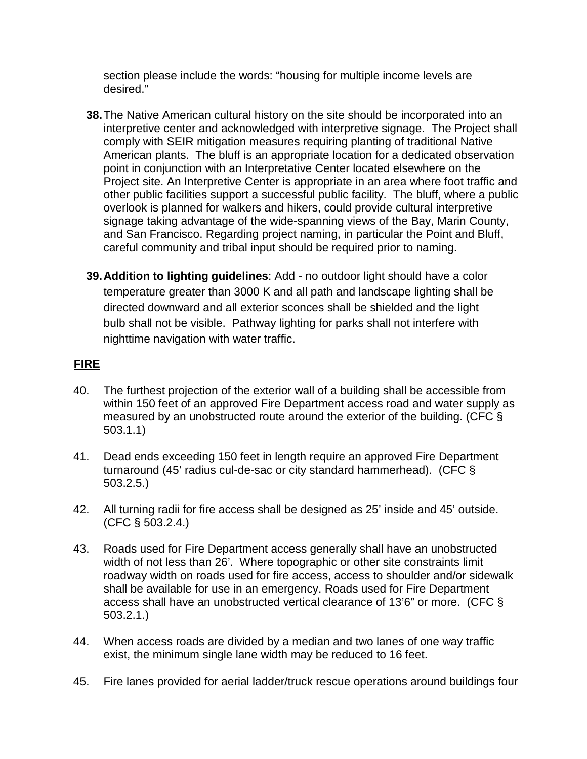section please include the words: "housing for multiple income levels are desired."

- **38.**The Native American cultural history on the site should be incorporated into an interpretive center and acknowledged with interpretive signage. The Project shall comply with SEIR mitigation measures requiring planting of traditional Native American plants. The bluff is an appropriate location for a dedicated observation point in conjunction with an Interpretative Center located elsewhere on the Project site. An Interpretive Center is appropriate in an area where foot traffic and other public facilities support a successful public facility. The bluff, where a public overlook is planned for walkers and hikers, could provide cultural interpretive signage taking advantage of the wide-spanning views of the Bay, Marin County, and San Francisco. Regarding project naming, in particular the Point and Bluff, careful community and tribal input should be required prior to naming.
- **39.Addition to lighting guidelines**: Add no outdoor light should have a color temperature greater than 3000 K and all path and landscape lighting shall be directed downward and all exterior sconces shall be shielded and the light bulb shall not be visible. Pathway lighting for parks shall not interfere with nighttime navigation with water traffic.

## **FIRE**

- 40. The furthest projection of the exterior wall of a building shall be accessible from within 150 feet of an approved Fire Department access road and water supply as measured by an unobstructed route around the exterior of the building. (CFC § 503.1.1)
- 41. Dead ends exceeding 150 feet in length require an approved Fire Department turnaround (45' radius cul-de-sac or city standard hammerhead). (CFC § 503.2.5.)
- 42. All turning radii for fire access shall be designed as 25' inside and 45' outside. (CFC § 503.2.4.)
- 43. Roads used for Fire Department access generally shall have an unobstructed width of not less than 26'. Where topographic or other site constraints limit roadway width on roads used for fire access, access to shoulder and/or sidewalk shall be available for use in an emergency. Roads used for Fire Department access shall have an unobstructed vertical clearance of 13'6" or more. (CFC § 503.2.1.)
- 44. When access roads are divided by a median and two lanes of one way traffic exist, the minimum single lane width may be reduced to 16 feet.
- 45. Fire lanes provided for aerial ladder/truck rescue operations around buildings four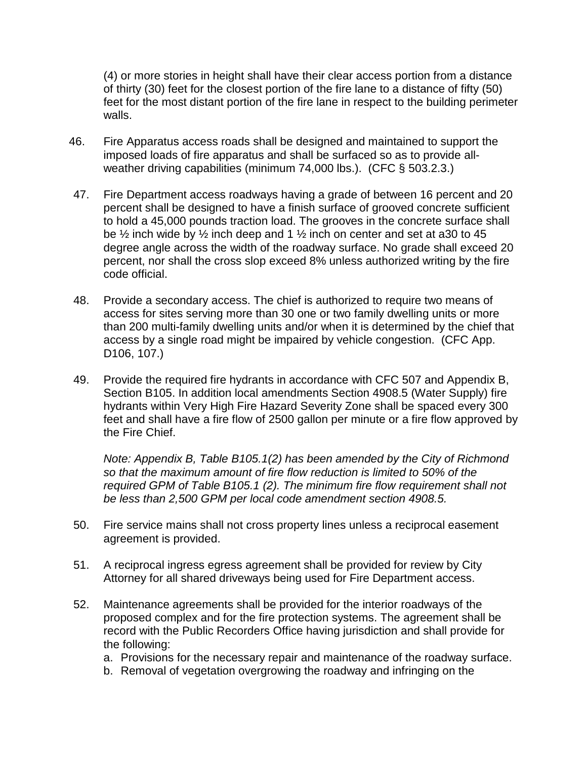(4) or more stories in height shall have their clear access portion from a distance of thirty (30) feet for the closest portion of the fire lane to a distance of fifty (50) feet for the most distant portion of the fire lane in respect to the building perimeter walls.

- 46. Fire Apparatus access roads shall be designed and maintained to support the imposed loads of fire apparatus and shall be surfaced so as to provide allweather driving capabilities (minimum 74,000 lbs.). (CFC § 503.2.3.)
- 47. Fire Department access roadways having a grade of between 16 percent and 20 percent shall be designed to have a finish surface of grooved concrete sufficient to hold a 45,000 pounds traction load. The grooves in the concrete surface shall be  $\frac{1}{2}$  inch wide by  $\frac{1}{2}$  inch deep and 1  $\frac{1}{2}$  inch on center and set at a30 to 45 degree angle across the width of the roadway surface. No grade shall exceed 20 percent, nor shall the cross slop exceed 8% unless authorized writing by the fire code official.
- 48. Provide a secondary access. The chief is authorized to require two means of access for sites serving more than 30 one or two family dwelling units or more than 200 multi-family dwelling units and/or when it is determined by the chief that access by a single road might be impaired by vehicle congestion. (CFC App. D106, 107.)
- 49. Provide the required fire hydrants in accordance with CFC 507 and Appendix B, Section B105. In addition local amendments Section 4908.5 (Water Supply) fire hydrants within Very High Fire Hazard Severity Zone shall be spaced every 300 feet and shall have a fire flow of 2500 gallon per minute or a fire flow approved by the Fire Chief.

*Note: Appendix B, Table B105.1(2) has been amended by the City of Richmond so that the maximum amount of fire flow reduction is limited to 50% of the required GPM of Table B105.1 (2). The minimum fire flow requirement shall not be less than 2,500 GPM per local code amendment section 4908.5.*

- 50. Fire service mains shall not cross property lines unless a reciprocal easement agreement is provided.
- 51. A reciprocal ingress egress agreement shall be provided for review by City Attorney for all shared driveways being used for Fire Department access.
- 52. Maintenance agreements shall be provided for the interior roadways of the proposed complex and for the fire protection systems. The agreement shall be record with the Public Recorders Office having jurisdiction and shall provide for the following:
	- a. Provisions for the necessary repair and maintenance of the roadway surface.
	- b. Removal of vegetation overgrowing the roadway and infringing on the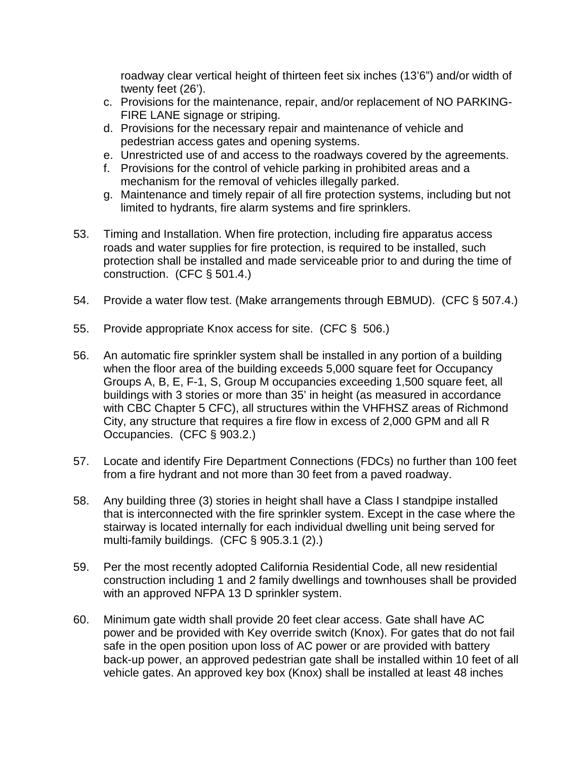roadway clear vertical height of thirteen feet six inches (13'6") and/or width of twenty feet (26').

- c. Provisions for the maintenance, repair, and/or replacement of NO PARKING-FIRE LANE signage or striping.
- d. Provisions for the necessary repair and maintenance of vehicle and pedestrian access gates and opening systems.
- e. Unrestricted use of and access to the roadways covered by the agreements.
- f. Provisions for the control of vehicle parking in prohibited areas and a mechanism for the removal of vehicles illegally parked.
- g. Maintenance and timely repair of all fire protection systems, including but not limited to hydrants, fire alarm systems and fire sprinklers.
- 53. Timing and Installation. When fire protection, including fire apparatus access roads and water supplies for fire protection, is required to be installed, such protection shall be installed and made serviceable prior to and during the time of construction. (CFC § 501.4.)
- 54. Provide a water flow test. (Make arrangements through EBMUD). (CFC § 507.4.)
- 55. Provide appropriate Knox access for site. (CFC § 506.)
- 56. An automatic fire sprinkler system shall be installed in any portion of a building when the floor area of the building exceeds 5,000 square feet for Occupancy Groups A, B, E, F-1, S, Group M occupancies exceeding 1,500 square feet, all buildings with 3 stories or more than 35' in height (as measured in accordance with CBC Chapter 5 CFC), all structures within the VHFHSZ areas of Richmond City, any structure that requires a fire flow in excess of 2,000 GPM and all R Occupancies. (CFC § 903.2.)
- 57. Locate and identify Fire Department Connections (FDCs) no further than 100 feet from a fire hydrant and not more than 30 feet from a paved roadway.
- 58. Any building three (3) stories in height shall have a Class I standpipe installed that is interconnected with the fire sprinkler system. Except in the case where the stairway is located internally for each individual dwelling unit being served for multi-family buildings. (CFC § 905.3.1 (2).)
- 59. Per the most recently adopted California Residential Code, all new residential construction including 1 and 2 family dwellings and townhouses shall be provided with an approved NFPA 13 D sprinkler system.
- 60. Minimum gate width shall provide 20 feet clear access. Gate shall have AC power and be provided with Key override switch (Knox). For gates that do not fail safe in the open position upon loss of AC power or are provided with battery back-up power, an approved pedestrian gate shall be installed within 10 feet of all vehicle gates. An approved key box (Knox) shall be installed at least 48 inches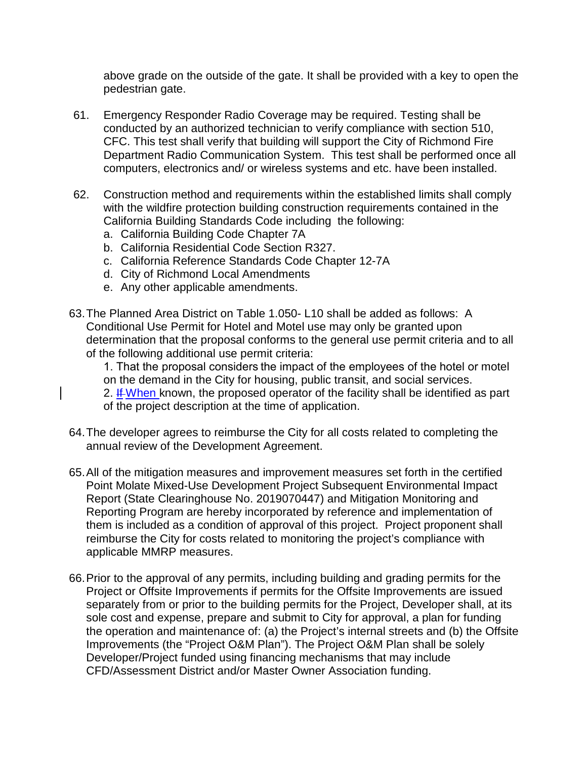above grade on the outside of the gate. It shall be provided with a key to open the pedestrian gate.

- 61. Emergency Responder Radio Coverage may be required. Testing shall be conducted by an authorized technician to verify compliance with section 510, CFC. This test shall verify that building will support the City of Richmond Fire Department Radio Communication System. This test shall be performed once all computers, electronics and/ or wireless systems and etc. have been installed.
- 62. Construction method and requirements within the established limits shall comply with the wildfire protection building construction requirements contained in the California Building Standards Code including the following:
	- a. California Building Code Chapter 7A
	- b. California Residential Code Section R327.
	- c. California Reference Standards Code Chapter 12-7A
	- d. City of Richmond Local Amendments
	- e. Any other applicable amendments.
- 63.The Planned Area District on Table 1.050- L10 shall be added as follows: A Conditional Use Permit for Hotel and Motel use may only be granted upon determination that the proposal conforms to the general use permit criteria and to all of the following additional use permit criteria:

1. That the proposal considers the impact of the employees of the hotel or motel on the demand in the City for housing, public transit, and social services. 2. If When known, the proposed operator of the facility shall be identified as part of the project description at the time of application.

- 64.The developer agrees to reimburse the City for all costs related to completing the annual review of the Development Agreement.
- 65.All of the mitigation measures and improvement measures set forth in the certified Point Molate Mixed-Use Development Project Subsequent Environmental Impact Report (State Clearinghouse No. 2019070447) and Mitigation Monitoring and Reporting Program are hereby incorporated by reference and implementation of them is included as a condition of approval of this project. Project proponent shall reimburse the City for costs related to monitoring the project's compliance with applicable MMRP measures.
- 66.Prior to the approval of any permits, including building and grading permits for the Project or Offsite Improvements if permits for the Offsite Improvements are issued separately from or prior to the building permits for the Project, Developer shall, at its sole cost and expense, prepare and submit to City for approval, a plan for funding the operation and maintenance of: (a) the Project's internal streets and (b) the Offsite Improvements (the "Project O&M Plan"). The Project O&M Plan shall be solely Developer/Project funded using financing mechanisms that may include CFD/Assessment District and/or Master Owner Association funding.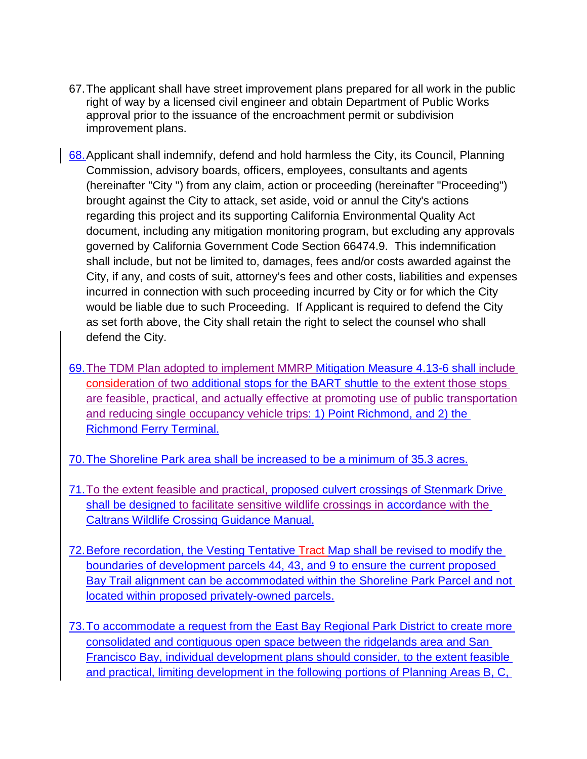- 67.The applicant shall have street improvement plans prepared for all work in the public right of way by a licensed civil engineer and obtain Department of Public Works approval prior to the issuance of the encroachment permit or subdivision improvement plans.
- 68.Applicant shall indemnify, defend and hold harmless the City, its Council, Planning Commission, advisory boards, officers, employees, consultants and agents (hereinafter "City ") from any claim, action or proceeding (hereinafter "Proceeding") brought against the City to attack, set aside, void or annul the City's actions regarding this project and its supporting California Environmental Quality Act document, including any mitigation monitoring program, but excluding any approvals governed by California Government Code Section 66474.9. This indemnification shall include, but not be limited to, damages, fees and/or costs awarded against the City, if any, and costs of suit, attorney's fees and other costs, liabilities and expenses incurred in connection with such proceeding incurred by City or for which the City would be liable due to such Proceeding. If Applicant is required to defend the City as set forth above, the City shall retain the right to select the counsel who shall defend the City.
- 69.The TDM Plan adopted to implement MMRP Mitigation Measure 4.13-6 shall include consideration of two additional stops for the BART shuttle to the extent those stops are feasible, practical, and actually effective at promoting use of public transportation and reducing single occupancy vehicle trips: 1) Point Richmond, and 2) the Richmond Ferry Terminal.
- 70.The Shoreline Park area shall be increased to be a minimum of 35.3 acres.
- 71.To the extent feasible and practical, proposed culvert crossings of Stenmark Drive shall be designed to facilitate sensitive wildlife crossings in accordance with the Caltrans Wildlife Crossing Guidance Manual.
- 72.Before recordation, the Vesting Tentative Tract Map shall be revised to modify the boundaries of development parcels 44, 43, and 9 to ensure the current proposed Bay Trail alignment can be accommodated within the Shoreline Park Parcel and not located within proposed privately-owned parcels.
- 73.To accommodate a request from the East Bay Regional Park District to create more consolidated and contiguous open space between the ridgelands area and San Francisco Bay, individual development plans should consider, to the extent feasible and practical, limiting development in the following portions of Planning Areas B, C,